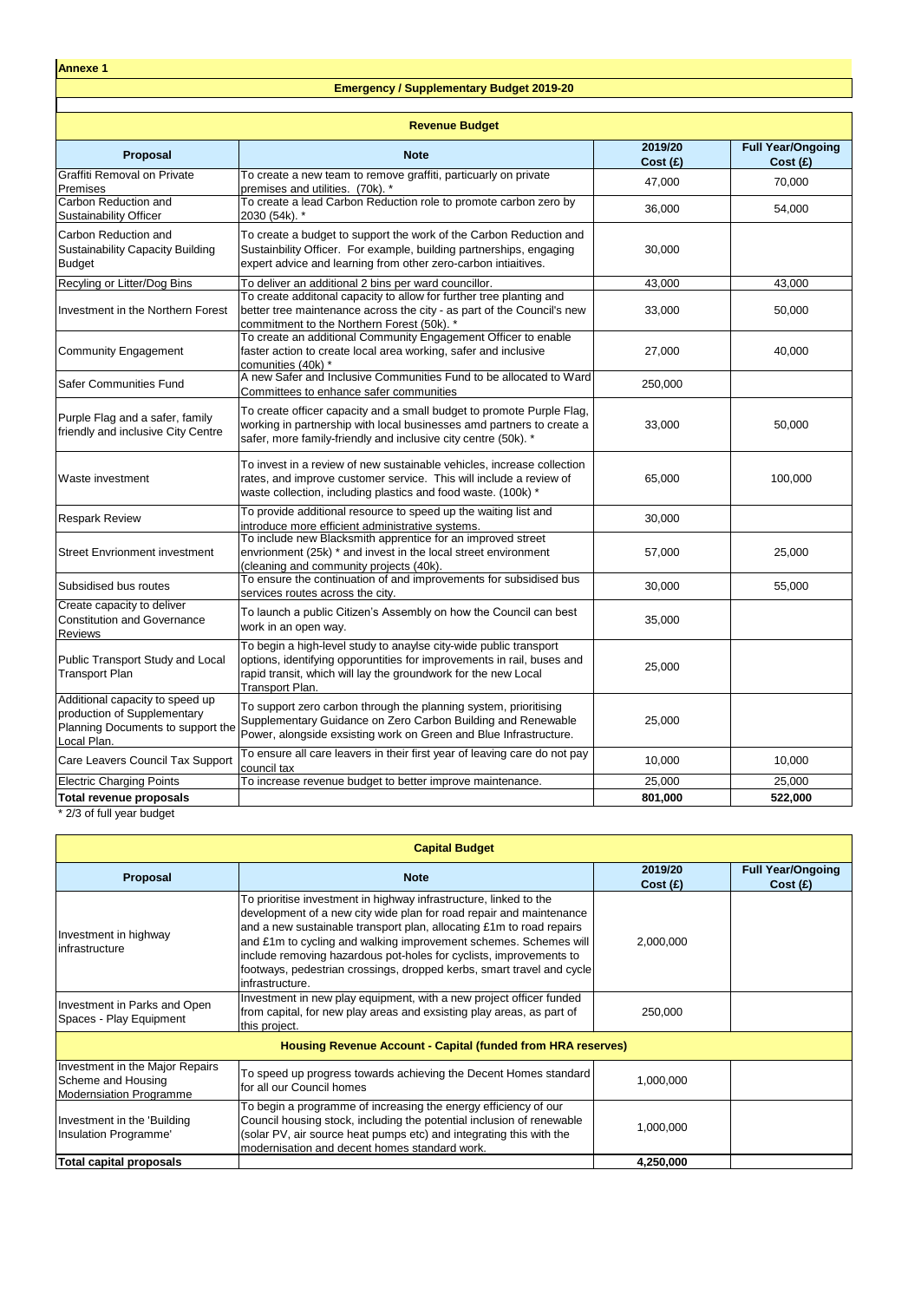| <b>Revenue Budget</b>                                                                                              |                                                                                                                                                                                                                                  |                    |                                     |
|--------------------------------------------------------------------------------------------------------------------|----------------------------------------------------------------------------------------------------------------------------------------------------------------------------------------------------------------------------------|--------------------|-------------------------------------|
| <b>Proposal</b>                                                                                                    | <b>Note</b>                                                                                                                                                                                                                      | 2019/20<br>Cost(f) | <b>Full Year/Ongoing</b><br>Cost(f) |
| <b>Graffiti Removal on Private</b><br>Premises                                                                     | To create a new team to remove graffiti, particuarly on private<br>premises and utilities. (70k). *                                                                                                                              | 47,000             | 70,000                              |
| Carbon Reduction and<br><b>Sustainability Officer</b>                                                              | To create a lead Carbon Reduction role to promote carbon zero by<br>2030 (54k). *                                                                                                                                                | 36,000             | 54,000                              |
| Carbon Reduction and<br><b>Sustainability Capacity Building</b><br><b>Budget</b>                                   | To create a budget to support the work of the Carbon Reduction and<br>Sustainbility Officer. For example, building partnerships, engaging<br>expert advice and learning from other zero-carbon intiaitives.                      | 30,000             |                                     |
| Recyling or Litter/Dog Bins                                                                                        | To deliver an additional 2 bins per ward councillor.                                                                                                                                                                             | 43,000             | 43,000                              |
| Investment in the Northern Forest                                                                                  | To create additonal capacity to allow for further tree planting and<br>better tree maintenance across the city - as part of the Council's new<br>commitment to the Northern Forest (50k). *                                      | 33,000             | 50,000                              |
| Community Engagement                                                                                               | To create an additional Community Engagement Officer to enable<br>faster action to create local area working, safer and inclusive<br>comunities (40k) *                                                                          | 27,000             | 40,000                              |
| <b>Safer Communities Fund</b>                                                                                      | A new Safer and Inclusive Communities Fund to be allocated to Ward<br>Committees to enhance safer communities                                                                                                                    | 250,000            |                                     |
| Purple Flag and a safer, family<br>friendly and inclusive City Centre                                              | To create officer capacity and a small budget to promote Purple Flag,<br>working in partnership with local businesses amd partners to create a<br>safer, more family-friendly and inclusive city centre (50k). *                 | 33,000             | 50,000                              |
| <b>Waste investment</b>                                                                                            | To invest in a review of new sustainable vehicles, increase collection<br>rates, and improve customer service. This will include a review of<br>waste collection, including plastics and food waste. (100k) *                    | 65,000             | 100,000                             |
| <b>Respark Review</b>                                                                                              | To provide additional resource to speed up the waiting list and<br>introduce more efficient administrative systems.                                                                                                              | 30,000             |                                     |
| <b>Street Envrionment investment</b>                                                                               | To include new Blacksmith apprentice for an improved street<br>envrionment (25k) * and invest in the local street environment<br>(cleaning and community projects (40k).                                                         | 57,000             | 25,000                              |
| Subsidised bus routes                                                                                              | To ensure the continuation of and improvements for subsidised bus<br>services routes across the city.                                                                                                                            | 30,000             | 55,000                              |
| Create capacity to deliver<br><b>Constitution and Governance</b><br><b>Reviews</b>                                 | To launch a public Citizen's Assembly on how the Council can best<br>work in an open way.                                                                                                                                        | 35,000             |                                     |
| Public Transport Study and Local<br><b>Transport Plan</b>                                                          | To begin a high-level study to anaylse city-wide public transport<br>options, identifying opporuntities for improvements in rail, buses and<br>rapid transit, which will lay the groundwork for the new Local<br>Transport Plan. | 25,000             |                                     |
| Additional capacity to speed up<br>production of Supplementary<br>Planning Documents to support the<br>Local Plan. | To support zero carbon through the planning system, prioritising<br>Supplementary Guidance on Zero Carbon Building and Renewable<br>Power, alongside exsisting work on Green and Blue Infrastructure.                            | 25,000             |                                     |
| Care Leavers Council Tax Support                                                                                   | To ensure all care leavers in their first year of leaving care do not pay<br>council tax                                                                                                                                         | 10,000             | 10,000                              |
| <b>Electric Charging Points</b>                                                                                    | To increase revenue budget to better improve maintenance.                                                                                                                                                                        | 25,000             | 25,000                              |
| <b>Total revenue proposals</b><br>$*2/2$ of full your budget                                                       |                                                                                                                                                                                                                                  | 801,000            | 522,000                             |

2/3 of full year budget

| <b>Capital Budget</b>                                                                   |                                                                                                                                                                                                                                                                                                                                                                                                                                                        |                    |                                     |  |
|-----------------------------------------------------------------------------------------|--------------------------------------------------------------------------------------------------------------------------------------------------------------------------------------------------------------------------------------------------------------------------------------------------------------------------------------------------------------------------------------------------------------------------------------------------------|--------------------|-------------------------------------|--|
| <b>Proposal</b>                                                                         | <b>Note</b>                                                                                                                                                                                                                                                                                                                                                                                                                                            | 2019/20<br>Cost(E) | <b>Full Year/Ongoing</b><br>Cost(E) |  |
| Investment in highway<br>linfrastructure                                                | To prioritise investment in highway infrastructure, linked to the<br>development of a new city wide plan for road repair and maintenance<br>and a new sustainable transport plan, allocating £1m to road repairs<br>and £1m to cycling and walking improvement schemes. Schemes will<br>include removing hazardous pot-holes for cyclists, improvements to<br>footways, pedestrian crossings, dropped kerbs, smart travel and cycle<br>infrastructure. | 2,000,000          |                                     |  |
| Investment in Parks and Open<br>Spaces - Play Equipment                                 | Investment in new play equipment, with a new project officer funded<br>from capital, for new play areas and exsisting play areas, as part of<br>this project.                                                                                                                                                                                                                                                                                          | 250,000            |                                     |  |
|                                                                                         | <b>Housing Revenue Account - Capital (funded from HRA reserves)</b>                                                                                                                                                                                                                                                                                                                                                                                    |                    |                                     |  |
| Investment in the Major Repairs<br>Scheme and Housing<br><b>Modernsiation Programme</b> | To speed up progress towards achieving the Decent Homes standard<br>for all our Council homes                                                                                                                                                                                                                                                                                                                                                          | 1,000,000          |                                     |  |
| Investment in the 'Building<br>Insulation Programme'                                    | To begin a programme of increasing the energy efficiency of our<br>Council housing stock, including the potential inclusion of renewable<br>(solar PV, air source heat pumps etc) and integrating this with the<br>modernisation and decent homes standard work.                                                                                                                                                                                       | 1,000,000          |                                     |  |
| <b>Total capital proposals</b>                                                          |                                                                                                                                                                                                                                                                                                                                                                                                                                                        | 4,250,000          |                                     |  |

**Annexe 1**

## **Emergency / Supplementary Budget 2019-20**